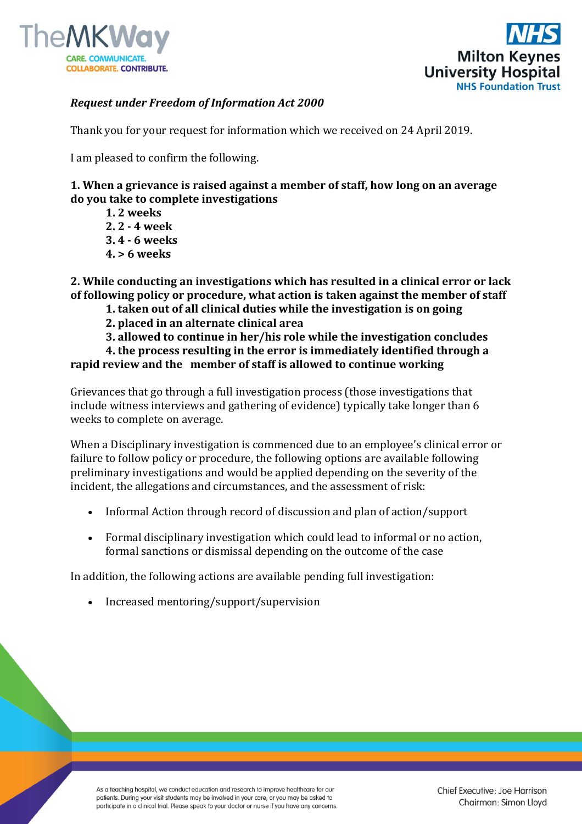



## *Request under Freedom of Information Act 2000*

Thank you for your request for information which we received on 24 April 2019.

I am pleased to confirm the following.

## **1. When a grievance is raised against a member of staff, how long on an average do you take to complete investigations**

- **1. 2 weeks 2. 2 - 4 week**
- **3. 4 - 6 weeks**
- **4. > 6 weeks**

**2. While conducting an investigations which has resulted in a clinical error or lack of following policy or procedure, what action is taken against the member of staff** 

- **1. taken out of all clinical duties while the investigation is on going**
- **2. placed in an alternate clinical area**
- **3. allowed to continue in her/his role while the investigation concludes**

**4. the process resulting in the error is immediately identified through a rapid review and the member of staff is allowed to continue working**

Grievances that go through a full investigation process (those investigations that include witness interviews and gathering of evidence) typically take longer than 6 weeks to complete on average.

When a Disciplinary investigation is commenced due to an employee's clinical error or failure to follow policy or procedure, the following options are available following preliminary investigations and would be applied depending on the severity of the incident, the allegations and circumstances, and the assessment of risk:

- Informal Action through record of discussion and plan of action/support
- Formal disciplinary investigation which could lead to informal or no action, formal sanctions or dismissal depending on the outcome of the case

In addition, the following actions are available pending full investigation:

Increased mentoring/support/supervision